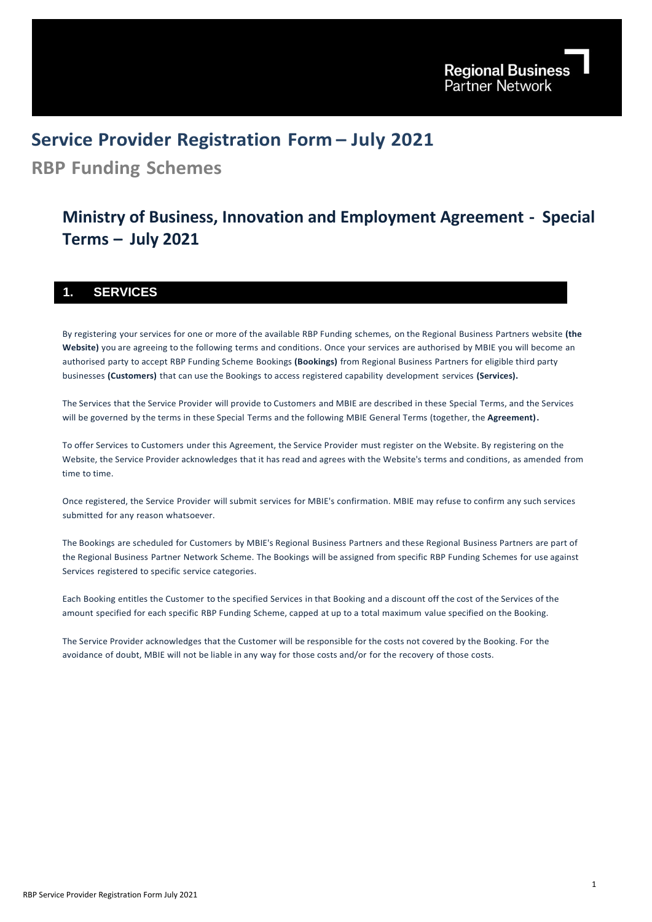# **Service Provider Registration Form – July 2021**

**RBP Funding Schemes**

# **Ministry of Business, Innovation and Employment Agreement - Special Terms – July 2021**

## **1. SERVICES**

By registering your services for one or more of the available RBP Funding schemes, on the Regional Business Partners website **(the Website)** you are agreeing to the following terms and conditions. Once your services are authorised by MBIE you will become an authorised party to accept RBP Funding Scheme Bookings **(Bookings)** from Regional Business Partners for eligible third party businesses **(Customers)** that can use the Bookings to access registered capability development services **(Services).**

The Services that the Service Provider will provide to Customers and MBIE are described in these Special Terms, and the Services will be governed by the terms in these Special Terms and the following MBIE General Terms (together, the **Agreement).**

To offer Services to Customers under this Agreement, the Service Provider must register on the Website. By registering on the Website, the Service Provider acknowledges that it has read and agrees with the Website's terms and conditions, as amended from time to time.

Once registered, the Service Provider will submit services for MBIE's confirmation. MBIE may refuse to confirm any such services submitted for any reason whatsoever.

The Bookings are scheduled for Customers by MBIE's Regional Business Partners and these Regional Business Partners are part of the Regional Business Partner Network Scheme. The Bookings will be assigned from specific RBP Funding Schemes for use against Services registered to specific service categories.

Each Booking entitles the Customer to the specified Services in that Booking and a discount off the cost of the Services of the amount specified for each specific RBP Funding Scheme, capped at up to a total maximum value specified on the Booking.

The Service Provider acknowledges that the Customer will be responsible for the costs not covered by the Booking. For the avoidance of doubt, MBIE will not be liable in any way for those costs and/or for the recovery of those costs.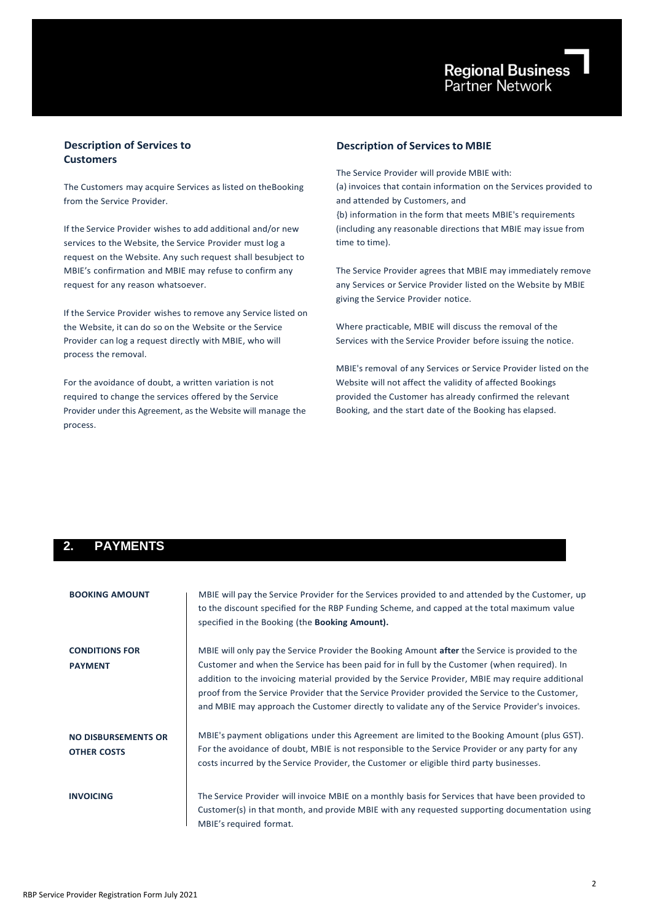## **Description of Services to Customers**

The Customers may acquire Services as listed on theBooking from the Service Provider.

If the Service Provider wishes to add additional and/or new services to the Website, the Service Provider must log a request on the Website. Any such request shall besubject to MBIE's confirmation and MBIE may refuse to confirm any request for any reason whatsoever.

If the Service Provider wishes to remove any Service listed on the Website, it can do so on the Website or the Service Provider can log a request directly with MBIE, who will process the removal.

For the avoidance of doubt, a written variation is not required to change the services offered by the Service Provider under this Agreement, as the Website will manage the process.

## **Description of Servicesto MBIE**

The Service Provider will provide MBIE with: (a) invoices that contain information on the Services provided to and attended by Customers, and {b) information in the form that meets MBIE's requirements (including any reasonable directions that MBIE may issue from time to time).

The Service Provider agrees that MBIE may immediately remove any Services or Service Provider listed on the Website by MBIE giving the Service Provider notice.

Where practicable, MBIE will discuss the removal of the Services with the Service Provider before issuing the notice.

MBIE's removal of any Services or Service Provider listed on the Website will not affect the validity of affected Bookings provided the Customer has already confirmed the relevant Booking, and the start date of the Booking has elapsed.

## **2. PAYMENTS**

| <b>BOOKING AMOUNT</b>                            | MBIE will pay the Service Provider for the Services provided to and attended by the Customer, up<br>to the discount specified for the RBP Funding Scheme, and capped at the total maximum value<br>specified in the Booking (the Booking Amount).                                                                                                                                                                                                                                                        |
|--------------------------------------------------|----------------------------------------------------------------------------------------------------------------------------------------------------------------------------------------------------------------------------------------------------------------------------------------------------------------------------------------------------------------------------------------------------------------------------------------------------------------------------------------------------------|
| <b>CONDITIONS FOR</b><br><b>PAYMENT</b>          | MBIE will only pay the Service Provider the Booking Amount after the Service is provided to the<br>Customer and when the Service has been paid for in full by the Customer (when required). In<br>addition to the invoicing material provided by the Service Provider, MBIE may require additional<br>proof from the Service Provider that the Service Provider provided the Service to the Customer,<br>and MBIE may approach the Customer directly to validate any of the Service Provider's invoices. |
| <b>NO DISBURSEMENTS OR</b><br><b>OTHER COSTS</b> | MBIE's payment obligations under this Agreement are limited to the Booking Amount (plus GST).<br>For the avoidance of doubt, MBIE is not responsible to the Service Provider or any party for any<br>costs incurred by the Service Provider, the Customer or eligible third party businesses.                                                                                                                                                                                                            |
| <b>INVOICING</b>                                 | The Service Provider will invoice MBIE on a monthly basis for Services that have been provided to<br>Customer(s) in that month, and provide MBIE with any requested supporting documentation using<br>MBIE's required format.                                                                                                                                                                                                                                                                            |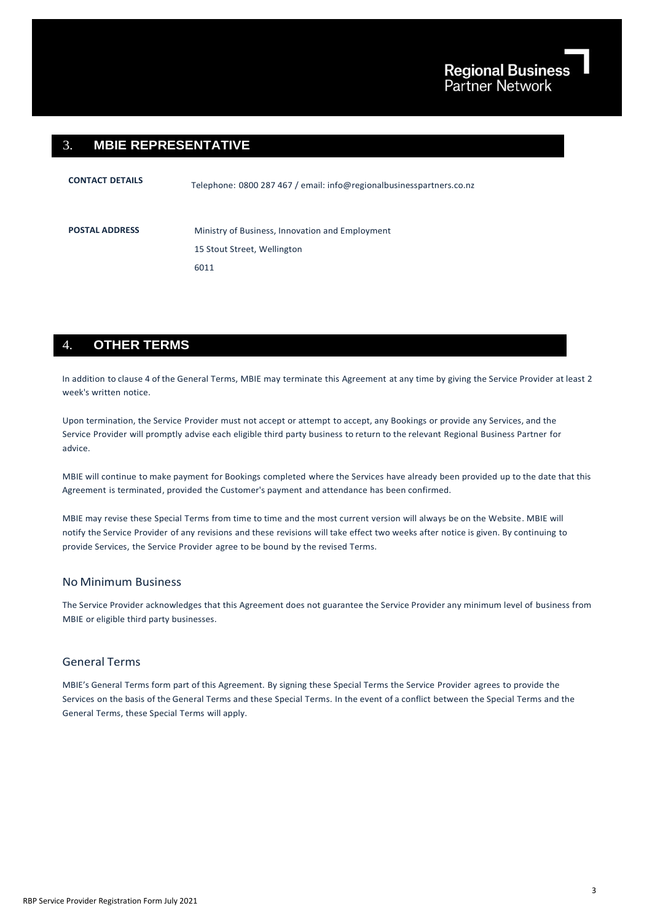## 3. **MBIE REPRESENTATIVE**

| <b>CONTACT DETAILS</b> | Telephone: 0800 287 467 / email: info@regionalbusinesspartners.co.nz |
|------------------------|----------------------------------------------------------------------|
| <b>POSTAL ADDRESS</b>  | Ministry of Business, Innovation and Employment                      |
|                        | 15 Stout Street, Wellington                                          |
|                        | 6011                                                                 |
|                        |                                                                      |

## 4. **OTHER TERMS**

In addition to clause 4 of the General Terms, MBIE may terminate this Agreement at any time by giving the Service Provider at least 2 week's written notice.

Upon termination, the Service Provider must not accept or attempt to accept, any Bookings or provide any Services, and the Service Provider will promptly advise each eligible third party business to return to the relevant Regional Business Partner for advice.

MBIE will continue to make payment for Bookings completed where the Services have already been provided up to the date that this Agreement is terminated, provided the Customer's payment and attendance has been confirmed.

MBIE may revise these Special Terms from time to time and the most current version will always be on the Website. MBIE will notify the Service Provider of any revisions and these revisions will take effect two weeks after notice is given. By continuing to provide Services, the Service Provider agree to be bound by the revised Terms.

## No Minimum Business

The Service Provider acknowledges that this Agreement does not guarantee the Service Provider any minimum level of business from MBIE or eligible third party businesses.

## General Terms

MBIE's General Terms form part of this Agreement. By signing these Special Terms the Service Provider agrees to provide the Services on the basis of the General Terms and these Special Terms. In the event of a conflict between the Special Terms and the General Terms, these Special Terms will apply.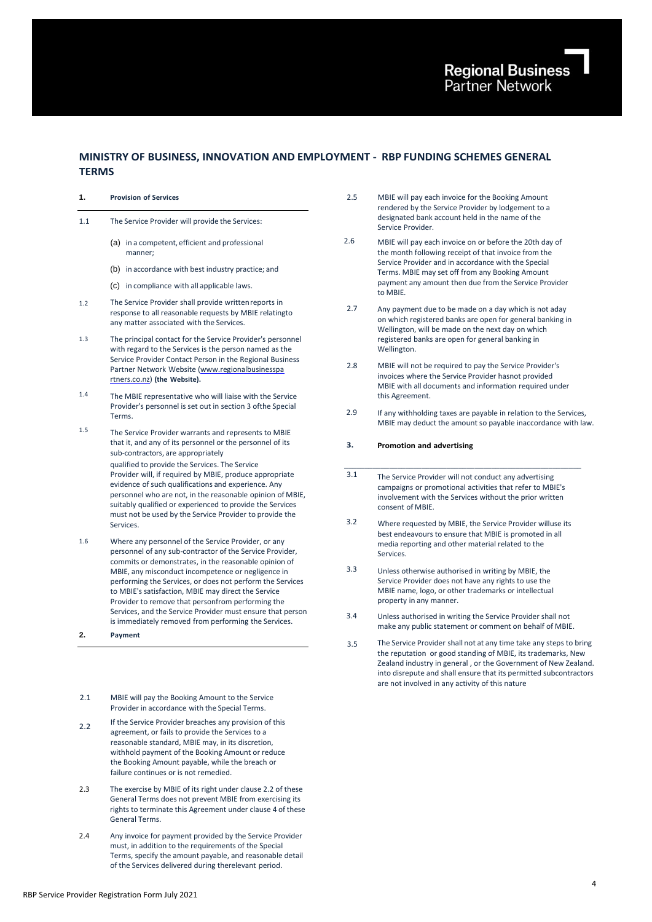## **MINISTRY OF BUSINESS, INNOVATION AND EMPLOYMENT - RBP FUNDING SCHEMES GENERAL TERMS**

- **1. Provision of Services** 2.5
- 1.1 The Service Provider will provide the Services:
	- (a) in a competent, efficient and professional manner;
	- (b) in accordance with best industry practice; and
	- (c) in compliance with all applicable laws.
- 1.2 The Service Provider shall provide writtenreports in response to all reasonable requests by MBIE relatingto any matter associated with the Services.
- 1.3 The principal contact for the Service Provider's personnel with regard to the Services is the person named as the Service Provider Contact Person in the Regional Business Partner Network Website [\(www.regionalbusinesspa](http://www.regionalbusinesspartners.co.nz/) [rtners.co.nz\)](http://www.regionalbusinesspartners.co.nz/) **(the Website).**
- 1.4 The MBIE representative who will liaise with the Service Provider's personnel is set out in section 3 ofthe Special Terms.
- 1.5 The Service Provider warrants and represents to MBIE that it, and any of its personnel or the personnel of its sub-contractors, are appropriately qualified to provide the Services. The Service Provider will, if required by MBIE, produce appropriate evidence of such qualifications and experience. Any personnel who are not, in the reasonable opinion of MBIE, suitably qualified or experienced to provide the Services must not be used by the Service Provider to provide the Services.
- 1.6 Where any personnel of the Service Provider, or any personnel of any sub-contractor of the Service Provider, commits or demonstrates, in the reasonable opinion of MBIE, any misconduct incompetence or negligence in performing the Services, or does not perform the Services to MBIE's satisfaction, MBIE may direct the Service Provider to remove that personfrom performing the Services, and the Service Provider must ensure that person is immediately removed from performing the Services.
- **2. Payment**
- 2.1 MBIE will pay the Booking Amount to the Service Provider in accordance with the Special Terms.
- 2.2 If the Service Provider breaches any provision of this agreement, or fails to provide the Services to a reasonable standard, MBIE may, in its discretion, withhold payment of the Booking Amount or reduce the Booking Amount payable, while the breach or failure continues or is not remedied.
- 2.3 The exercise by MBIE of its right under clause 2.2 of these General Terms does not prevent MBIE from exercising its rights to terminate this Agreement under clause 4 of these General Terms.
- 2.4 Any invoice for payment provided by the Service Provider must, in addition to the requirements of the Special Terms, specify the amount payable, and reasonable detail of the Services delivered during therelevant period.
- MBIE will pay each invoice for the Booking Amount rendered by the Service Provider by lodgement to a designated bank account held in the name of the Service Provider.
- 2.6 MBIE will pay each invoice on or before the 20th day of the month following receipt of that invoice from the Service Provider and in accordance with the Special Terms. MBIE may set off from any Booking Amount payment any amount then due from the Service Provider to MBIE.
- 2.7 Any payment due to be made on a day which is not aday on which registered banks are open for general banking in Wellington, will be made on the next day on which registered banks are open for general banking in Wellington.
- 2.8 MBIE will not be required to pay the Service Provider's invoices where the Service Provider hasnot provided MBIE with all documents and information required under this Agreement.
- 2.9 If any withholding taxes are payable in relation to the Services, MBIE may deduct the amount so payable inaccordance with law.

#### **3. Promotion and advertising**

- $3.1$ The Service Provider will not conduct any advertising campaigns or promotional activities that refer to MBIE's involvement with the Services without the prior written consent of MBIE.
- 3.2 Where requested by MBIE, the Service Provider willuse its best endeavours to ensure that MBIE is promoted in all media reporting and other material related to the Services.
- 3.3 Unless otherwise authorised in writing by MBIE, the Service Provider does not have any rights to use the MBIE name, logo, or other trademarks or intellectual property in any manner.
- 3.4 Unless authorised in writing the Service Provider shall not make any public statement or comment on behalf of MBIE.
- 3.5 The Service Provider shall not at any time take any steps to bring the reputation or good standing of MBIE, its trademarks, New Zealand industry in general , or the Government of New Zealand. into disrepute and shall ensure that its permitted subcontractors are not involved in any activity of this nature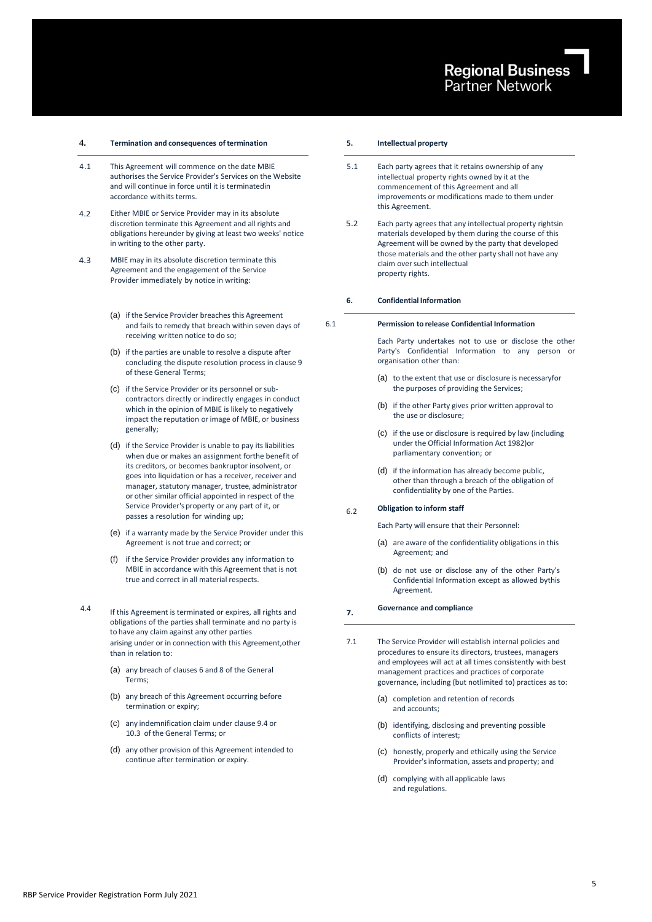## **4. Termination and consequences oftermination 5. Intellectual property**

- 4.1 This Agreement will commence on the date MBIE authorises the Service Provider's Services on the Website and will continue in force until it is terminatedin accordance with its terms.
- 4.2 Either MBIE or Service Provider may in its absolute discretion terminate this Agreement and all rights and obligations hereunder by giving at least two weeks' notice in writing to the other party.
- 4.3 MBIE may in its absolute discretion terminate this Agreement and the engagement of the Service Provider immediately by notice in writing:
	- (a) if the Service Provider breaches this Agreement and fails to remedy that breach within seven days of receiving written notice to do so;
	- (b) if the parties are unable to resolve a dispute after concluding the dispute resolution process in clause 9 of these General Terms;
	- (c) if the Service Provider or its personnel or subcontractors directly or indirectly engages in conduct which in the opinion of MBIE is likely to negatively impact the reputation or image of MBIE, or business generally;
	- (d) if the Service Provider is unable to pay its liabilities when due or makes an assignment forthe benefit of its creditors, or becomes bankruptor insolvent, or goes into liquidation or has a receiver, receiver and manager, statutory manager, trustee, administrator or other similar official appointed in respect of the Service Provider's property or any part of it, or passes a resolution for winding up;
	- (e) if a warranty made by the Service Provider under this Agreement is not true and correct; or
	- (f) if the Service Provider provides any information to MBIE in accordance with this Agreement that is not true and correct in all material respects.
- 4.4

If this Agreement is terminated or expires, all rights and obligations of the parties shall terminate and no party is to have any claim against any other parties arising under or in connection with this Agreement,other than in relation to:

- (a) any breach of clauses 6 and 8 of the General Terms;
- (b) any breach of this Agreement occurring before termination or expiry;
- (c) any indemnification claim under clause 9.4 or 10.3 of the General Terms; or
- (d) any other provision of this Agreement intended to continue after termination or expiry.

- 5.1 Each party agrees that it retains ownership of any intellectual property rights owned by it at the commencement of this Agreement and all improvements or modifications made to them under this Agreement.
- 5.2 Each party agrees that any intellectual property rightsin materials developed by them during the course of this Agreement will be owned by the party that developed those materials and the other party shall not have any claim over such intellectual property rights.

### **6. Confidential Information**

6.1

### **Permission to release Confidential Information**

Each Party undertakes not to use or disclose the other Party's Confidential Information to any person or organisation other than:

- (a) to the extent that use or disclosure is necessaryfor the purposes of providing the Services;
- (b) if the other Party gives prior written approval to the use or disclosure;
- (c) if the use or disclosure is required by law (including under the Official Information Act 1982)or parliamentary convention; or
- (d) if the information has already become public, other than through a breach of the obligation of confidentiality by one of the Parties.

#### 6.2 **Obligation to inform staff**

Each Party will ensure that their Personnel:

- (a) are aware of the confidentiality obligations in this Agreement; and
- (b) do not use or disclose any of the other Party's Confidential Information except as allowed bythis Agreement.

#### **7. Governance and compliance**

- 7.1 The Service Provider will establish internal policies and procedures to ensure its directors, trustees, managers and employees will act at all times consistently with best management practices and practices of corporate governance, including (but notlimited to) practices as to:
	- (a) completion and retention ofrecords and accounts;
	- (b) identifying, disclosing and preventing possible conflicts of interest;
	- (c) honestly, properly and ethically using the Service Provider's information, assets and property; and
	- (d) complying with all applicable laws and regulations.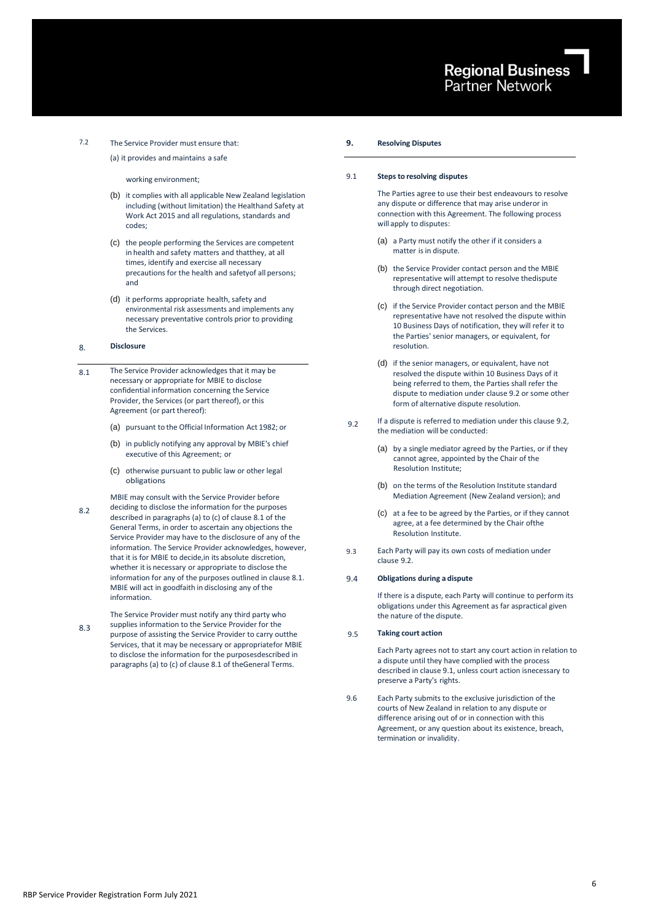## 7.2 The Service Provider must ensure that:

(a) it provides and maintains a safe

### working environment;

- (b) it complies with all applicable New Zealand legislation including (without limitation) the Healthand Safety at Work Act 2015 and all regulations, standards and codes;
- (c) the people performing the Services are competent in health and safety matters and thatthey, at all times, identify and exercise all necessary precautions for the health and safetyof all persons; and
- (d) it performs appropriate health, safety and environmental risk assessments and implements any necessary preventative controls prior to providing the Services.

#### 8. **Disclosure**

8.2

- 8.1 The Service Provider acknowledges that it may be necessary or appropriate for MBIE to disclose confidential information concerning the Service Provider, the Services (or part thereof), or this Agreement (or part thereof):
	- (a) pursuant to the Official Information Act 1982; or
	- (b) in publicly notifying any approval by MBIE's chief executive of this Agreement; or
	- (c) otherwise pursuant to public law or other legal obligations.

MBIE may consult with the Service Provider before

deciding to disclose the information for the purposes described in paragraphs (a) to (c) of clause 8.1 of the General Terms, in order to ascertain any objections the Service Provider may have to the disclosure of any of the information. The Service Provider acknowledges, however, that it is for MBIE to decide,in its absolute discretion, whether it is necessary or appropriate to disclose the information for any of the purposes outlined in clause 8.1. MBIE will act in goodfaith in disclosing any of the information.

8.3 The Service Provider must notify any third party who supplies information to the Service Provider for the purpose of assisting the Service Provider to carry outthe Services, that it may be necessary or appropriatefor MBIE to disclose the information for the purposesdescribed in paragraphs (a) to (c) of clause 8.1 of theGeneral Terms.

### **9. Resolving Disputes**

#### 9.1 **Steps to resolving disputes**

The Parties agree to use their best endeavours to resolve any dispute or difference that may arise underor in connection with this Agreement. The following process will apply to disputes:

- (a) a Party must notify the other if it considers a matter is in dispute.
- (b) the Service Provider contact person and the MBIE representative will attempt to resolve thedispute through direct negotiation.
- (c) if the Service Provider contact person and the MBIE representative have not resolved the dispute within 10 Business Days of notification, they will refer it to the Parties' senior managers, or equivalent, for resolution.
- (d) if the senior managers, or equivalent, have not resolved the dispute within 10 Business Days of it being referred to them, the Parties shall refer the dispute to mediation under clause 9.2 or some other form of alternative dispute resolution.
- 9.2 If a dispute is referred to mediation under this clause 9.2, the mediation will be conducted:
	- (a) by a single mediator agreed by the Parties, or if they cannot agree, appointed by the Chair of the Resolution Institute;
	- (b) on the terms of the Resolution Institute standard Mediation Agreement (New Zealand version); and
	- (c) at a fee to be agreed by the Parties, or if they cannot agree, at a fee determined by the Chair ofthe Resolution Institute.
- 9.3 Each Party will pay its own costs of mediation under clause 9.2.

#### 9.4 **Obligations during a dispute**

If there is a dispute, each Party will continue to perform its obligations under this Agreement as far aspractical given the nature of the dispute.

#### 9.5 **Taking court action**

Each Party agrees not to start any court action in relation to a dispute until they have complied with the process described in clause 9.1, unless court action isnecessary to preserve a Party's rights.

9.6 Each Party submits to the exclusive jurisdiction of the courts of New Zealand in relation to any dispute or difference arising out of or in connection with this Agreement, or any question about its existence, breach, termination or invalidity.